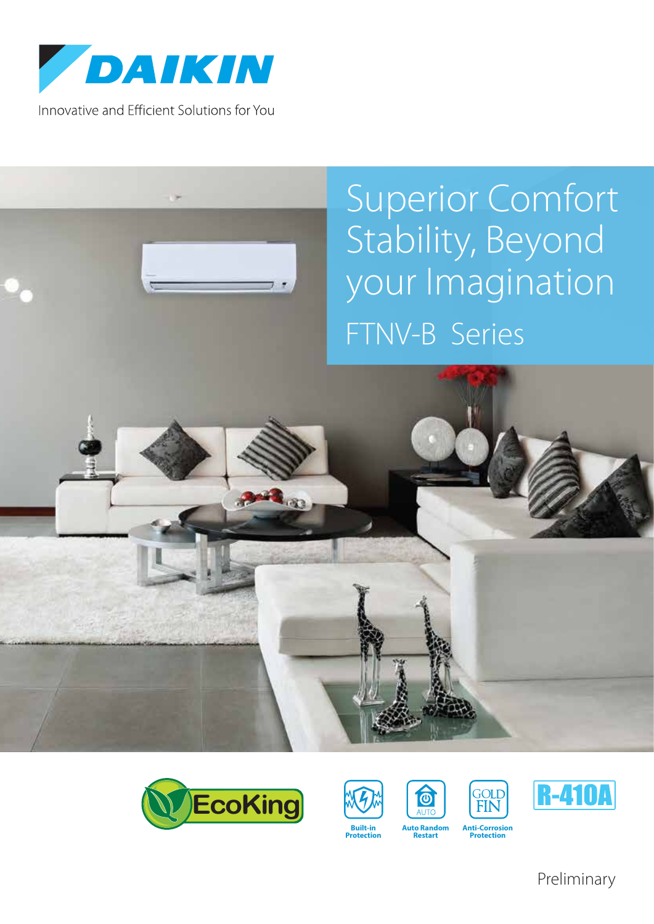

Innovative and Efficient Solutions for You

## Superior Comfort Stability, Beyond your Imagination FTNV-B Series











**Protection**



**Restart**

Preliminary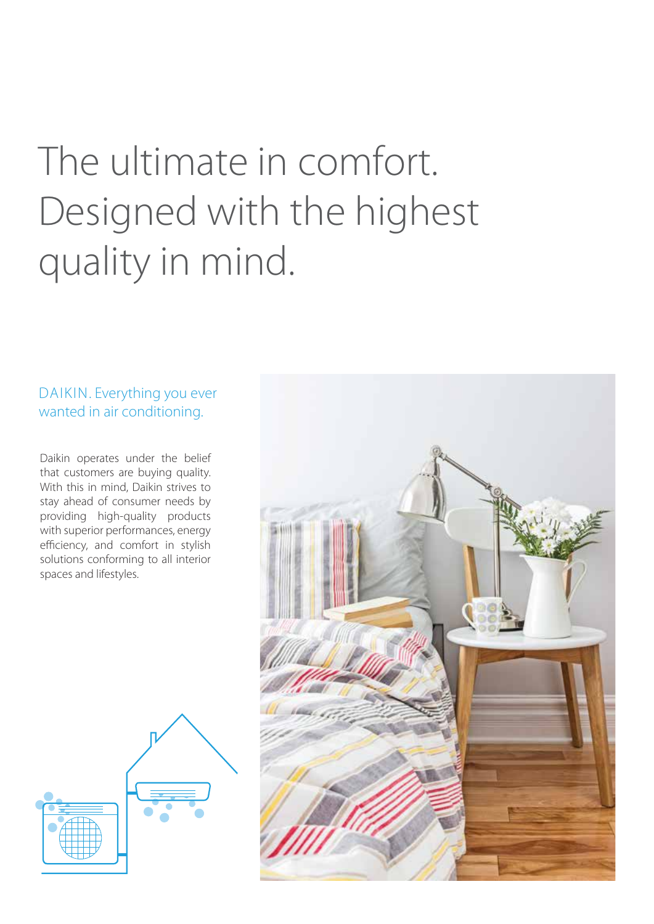# The ultimate in comfort. Designed with the highest quality in mind.

DAIKIN. Everything you ever wanted in air conditioning.

Daikin operates under the belief that customers are buying quality. With this in mind, Daikin strives to stay ahead of consumer needs by providing high-quality products with superior performances, energy efficiency, and comfort in stylish solutions conforming to all interior spaces and lifestyles.



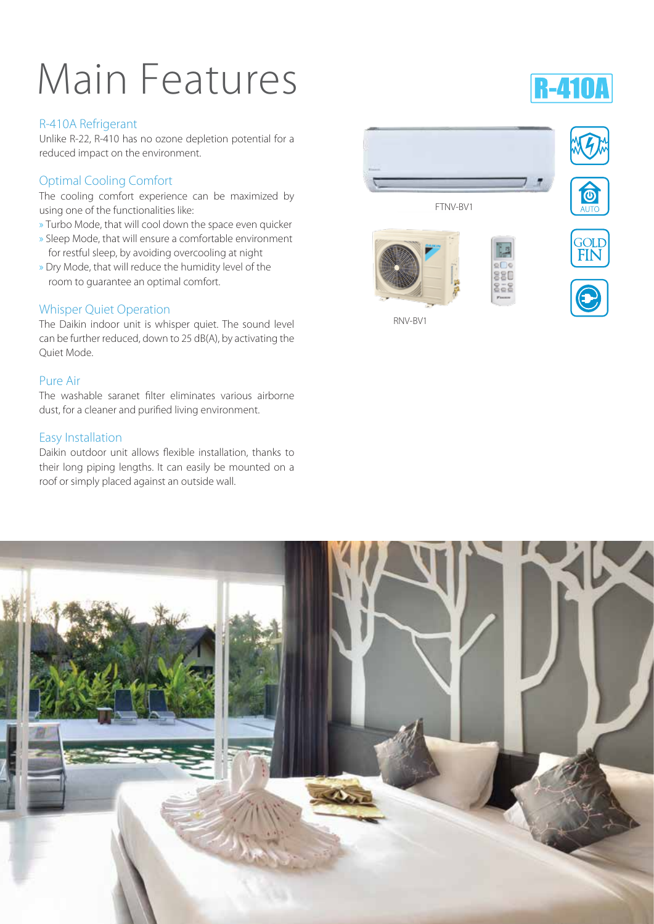# Main Features

## R-410A Refrigerant

Unlike R-22, R-410 has no ozone depletion potential for a reduced impact on the environment.

## Optimal Cooling Comfort

The cooling comfort experience can be maximized by using one of the functionalities like:

- » Turbo Mode, that will cool down the space even quicker
- » Sleep Mode, that will ensure a comfortable environment for restful sleep, by avoiding overcooling at night
- » Dry Mode, that will reduce the humidity level of the room to guarantee an optimal comfort.

## Whisper Quiet Operation

The Daikin indoor unit is whisper quiet. The sound level can be further reduced, down to 25 dB(A), by activating the Quiet Mode.

## Pure Air

The washable saranet filter eliminates various airborne dust, for a cleaner and purified living environment.

## Easy Installation

Daikin outdoor unit allows flexible installation, thanks to their long piping lengths. It can easily be mounted on a roof or simply placed against an outside wall.



RNV-BV1





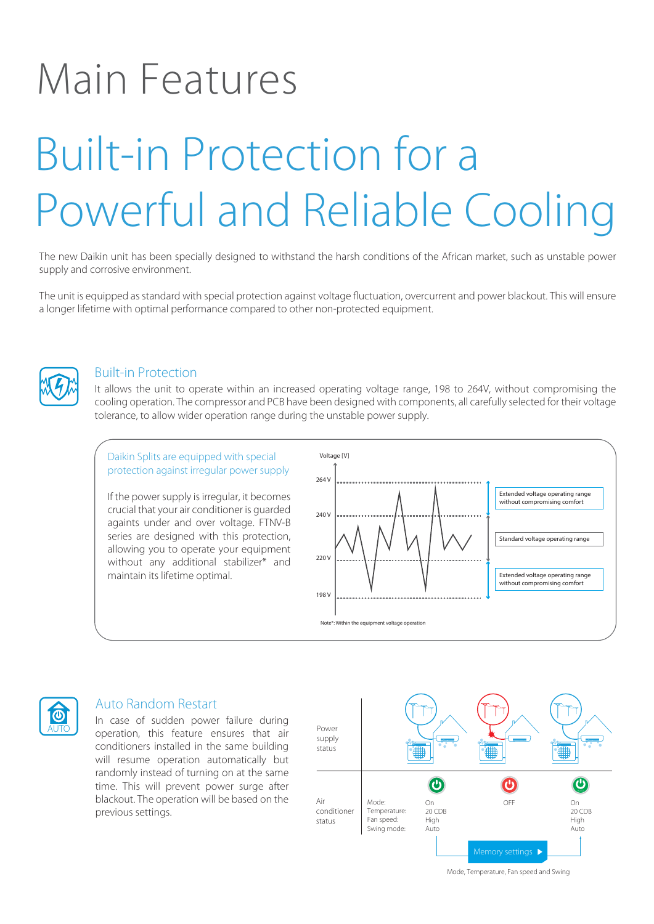# Main Features

# Built-in Protection for a Powerful and Reliable Cooling

The new Daikin unit has been specially designed to withstand the harsh conditions of the African market, such as unstable power supply and corrosive environment.

The unit is equipped as standard with special protection against voltage fluctuation, overcurrent and power blackout. This will ensure a longer lifetime with optimal performance compared to other non-protected equipment.



## Built-in Protection

It allows the unit to operate within an increased operating voltage range, 198 to 264V, without compromising the cooling operation. The compressor and PCB have been designed with components, all carefully selected for their voltage tolerance, to allow wider operation range during the unstable power supply.





## Auto Random Restart

In case of sudden power failure during operation, this feature ensures that air conditioners installed in the same building will resume operation automatically but randomly instead of turning on at the same time. This will prevent power surge after blackout. The operation will be based on the previous settings.



Mode, Temperature, Fan speed and Swing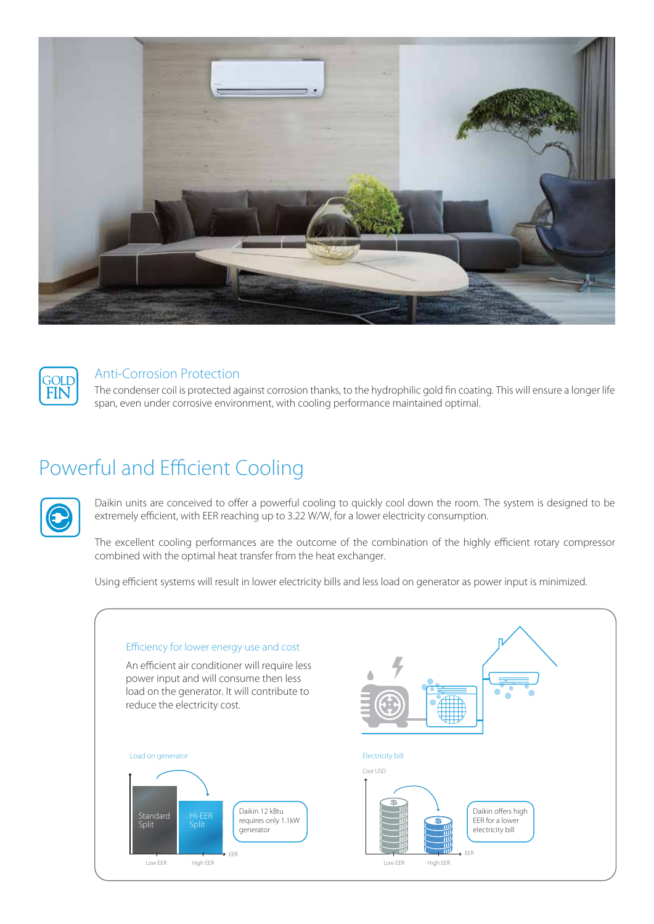



## Anti-Corrosion Protection

The condenser coil is protected against corrosion thanks, to the hydrophilic gold fin coating. This will ensure a longer life span, even under corrosive environment, with cooling performance maintained optimal.

## Powerful and Efficient Cooling



Daikin units are conceived to offer a powerful cooling to quickly cool down the room. The system is designed to be extremely efficient, with EER reaching up to 3.22 W/W, for a lower electricity consumption.

The excellent cooling performances are the outcome of the combination of the highly efficient rotary compressor combined with the optimal heat transfer from the heat exchanger.

Using efficient systems will result in lower electricity bills and less load on generator as power input is minimized.

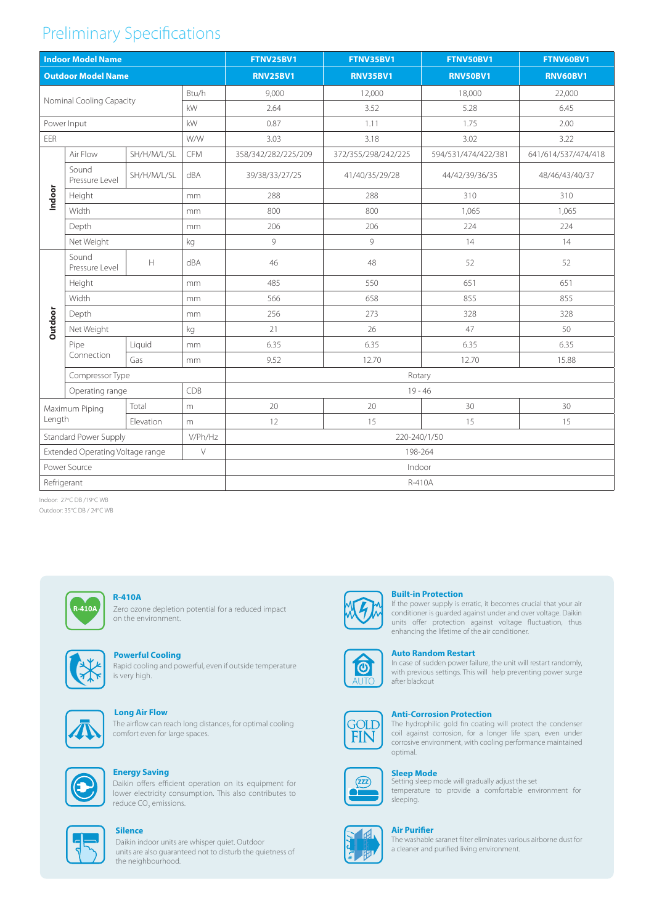## Preliminary Specifications

| <b>Indoor Model Name</b>                   |                         |                                                                                                  |            | <b>FTNV25BV1</b>    | FTNV35BV1           | FTNV50BV1           | FTNV60BV1           |
|--------------------------------------------|-------------------------|--------------------------------------------------------------------------------------------------|------------|---------------------|---------------------|---------------------|---------------------|
| <b>Outdoor Model Name</b>                  |                         |                                                                                                  |            | <b>RNV25BV1</b>     | <b>RNV35BV1</b>     | <b>RNV50BV1</b>     | <b>RNV60BV1</b>     |
| Btu/h<br>Nominal Cooling Capacity<br>kW    |                         |                                                                                                  |            | 9,000               | 12,000              | 18,000              | 22,000              |
|                                            |                         |                                                                                                  |            | 2.64                | 3.52                | 5.28                | 6.45                |
| Power Input<br>kW                          |                         |                                                                                                  |            | 0.87                | 1.11                | 1.75                | 2.00                |
| EER                                        |                         |                                                                                                  | W/W        | 3.03                | 3.18                | 3.02                | 3.22                |
| Indoor                                     | Air Flow                | SH/H/M/L/SL                                                                                      | <b>CFM</b> | 358/342/282/225/209 | 372/355/298/242/225 | 594/531/474/422/381 | 641/614/537/474/418 |
|                                            | Sound<br>Pressure Level | SH/H/M/L/SL                                                                                      | dBA        | 39/38/33/27/25      | 41/40/35/29/28      | 44/42/39/36/35      | 48/46/43/40/37      |
|                                            | Height                  |                                                                                                  | mm         | 288                 | 288                 | 310                 | 310                 |
|                                            | Width                   |                                                                                                  | mm         | 800                 | 800                 | 1,065               | 1,065               |
|                                            | Depth                   |                                                                                                  | mm         | 206                 | 206                 | 224                 | 224                 |
|                                            | Net Weight              |                                                                                                  | kg         | 9                   | 9                   | 14                  | 14                  |
| Outdoor                                    | Sound<br>Pressure Level | $\mathsf{H}% _{\mathsf{H}}^{\ast}=\mathsf{H}_{\mathsf{H}}^{\ast}=\mathsf{H}_{\mathsf{H}}^{\ast}$ | dBA        | 46                  | 48                  | 52                  | 52                  |
|                                            | Height                  |                                                                                                  | mm         | 485                 | 550                 | 651                 | 651                 |
|                                            | Width                   |                                                                                                  | mm         | 566                 | 658                 | 855                 | 855                 |
|                                            | Depth                   |                                                                                                  | mm         | 256                 | 273                 | 328                 | 328                 |
|                                            | Net Weight              |                                                                                                  | kg         | 21                  | 26                  | 47                  | 50                  |
|                                            | Pipe<br>Connection      | Liquid                                                                                           | mm         | 6.35                | 6.35                | 6.35                | 6.35                |
|                                            |                         | Gas                                                                                              | mm         | 9.52                | 12.70               | 12.70               | 15.88               |
|                                            | Compressor Type         |                                                                                                  |            | Rotary              |                     |                     |                     |
|                                            | Operating range         |                                                                                                  | CDB        | $19 - 46$           |                     |                     |                     |
| Maximum Piping                             |                         | Total                                                                                            | m          | 20                  | 20                  | 30                  | 30                  |
| Length                                     |                         | Elevation                                                                                        | m          | 12                  | 15                  | 15                  | 15                  |
| Standard Power Supply<br>V/Ph/Hz           |                         |                                                                                                  |            | 220-240/1/50        |                     |                     |                     |
| Extended Operating Voltage range<br>$\vee$ |                         |                                                                                                  |            | 198-264             |                     |                     |                     |
| Power Source                               |                         |                                                                                                  |            | Indoor              |                     |                     |                     |
| Refrigerant                                |                         |                                                                                                  |            | R-410A              |                     |                     |                     |

Indoor: 27°C DB /19°C WB Outdoor: 35°C DB / 24°C WB



Zero ozone depletion potential for a reduced impact on the environment. **R-410A**



## **Powerful Cooling**

Rapid cooling and powerful, even if outside temperature is very high.



## **Long Air Flow**

The airflow can reach long distances, for optimal cooling comfort even for large spaces.



## **Energy Saving**

Daikin offers efficient operation on its equipment for lower electricity consumption. This also contributes to reduce CO<sub>2</sub> emissions.



#### **Silence**

Daikin indoor units are whisper quiet. Outdoor units are also guaranteed not to disturb the quietness of the neighbourhood.



### **Built-in Protection**

If the power supply is erratic, it becomes crucial that your air conditioner is guarded against under and over voltage. Daikin units offer protection against voltage fluctuation, thus enhancing the lifetime of the air conditioner.

#### **Auto Random Restart**



In case of sudden power failure, the unit will restart randomly, with previous settings. This will help preventing power surge after blackout



#### **Anti-Corrosion Protection**

The hydrophilic gold fin coating will protect the condenser coil against corrosion, for a longer life span, even under corrosive environment, with cooling performance maintained optimal.



## **Sleep Mode**<br>Setting sleep mode will gradually adjust the set

temperature to provide a comfortable environment for sleeping.



The washable saranet filter eliminates various airborne dust for a cleaner and purified living environment. **Air Purifier**